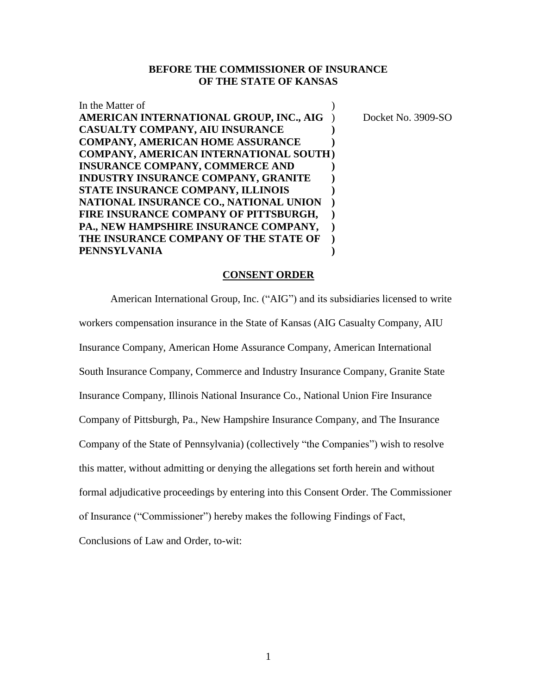## **BEFORE THE COMMISSIONER OF INSURANCE OF THE STATE OF KANSAS**

| In the Matter of                              |                    |
|-----------------------------------------------|--------------------|
| AMERICAN INTERNATIONAL GROUP, INC., AIG       | Docket No. 3909-SO |
| <b>CASUALTY COMPANY, AIU INSURANCE</b>        |                    |
| <b>COMPANY, AMERICAN HOME ASSURANCE</b>       |                    |
| <b>COMPANY, AMERICAN INTERNATIONAL SOUTH)</b> |                    |
| <b>INSURANCE COMPANY, COMMERCE AND</b>        |                    |
| INDUSTRY INSURANCE COMPANY, GRANITE           |                    |
| STATE INSURANCE COMPANY, ILLINOIS             |                    |
| NATIONAL INSURANCE CO., NATIONAL UNION        |                    |
| FIRE INSURANCE COMPANY OF PITTSBURGH,         |                    |
| PA., NEW HAMPSHIRE INSURANCE COMPANY,         |                    |
| THE INSURANCE COMPANY OF THE STATE OF         |                    |
| <b>PENNSYLVANIA</b>                           |                    |

#### **CONSENT ORDER**

American International Group, Inc. ("AIG") and its subsidiaries licensed to write workers compensation insurance in the State of Kansas (AIG Casualty Company, AIU Insurance Company, American Home Assurance Company, American International South Insurance Company, Commerce and Industry Insurance Company, Granite State Insurance Company, Illinois National Insurance Co., National Union Fire Insurance Company of Pittsburgh, Pa., New Hampshire Insurance Company, and The Insurance Company of the State of Pennsylvania) (collectively "the Companies") wish to resolve this matter, without admitting or denying the allegations set forth herein and without formal adjudicative proceedings by entering into this Consent Order. The Commissioner of Insurance ("Commissioner") hereby makes the following Findings of Fact,

Conclusions of Law and Order, to-wit: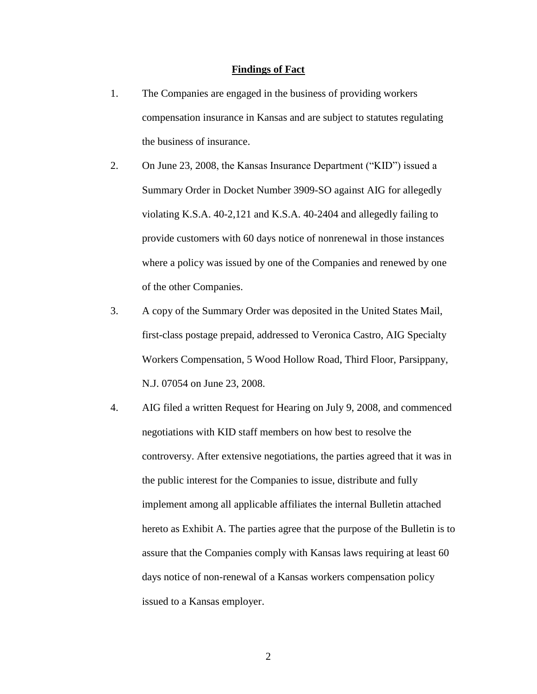#### **Findings of Fact**

- 1. The Companies are engaged in the business of providing workers compensation insurance in Kansas and are subject to statutes regulating the business of insurance.
- 2. On June 23, 2008, the Kansas Insurance Department ("KID") issued a Summary Order in Docket Number 3909-SO against AIG for allegedly violating K.S.A. 40-2,121 and K.S.A. 40-2404 and allegedly failing to provide customers with 60 days notice of nonrenewal in those instances where a policy was issued by one of the Companies and renewed by one of the other Companies.
- 3. A copy of the Summary Order was deposited in the United States Mail, first-class postage prepaid, addressed to Veronica Castro, AIG Specialty Workers Compensation, 5 Wood Hollow Road, Third Floor, Parsippany, N.J. 07054 on June 23, 2008.
- 4. AIG filed a written Request for Hearing on July 9, 2008, and commenced negotiations with KID staff members on how best to resolve the controversy. After extensive negotiations, the parties agreed that it was in the public interest for the Companies to issue, distribute and fully implement among all applicable affiliates the internal Bulletin attached hereto as Exhibit A. The parties agree that the purpose of the Bulletin is to assure that the Companies comply with Kansas laws requiring at least 60 days notice of non-renewal of a Kansas workers compensation policy issued to a Kansas employer.

2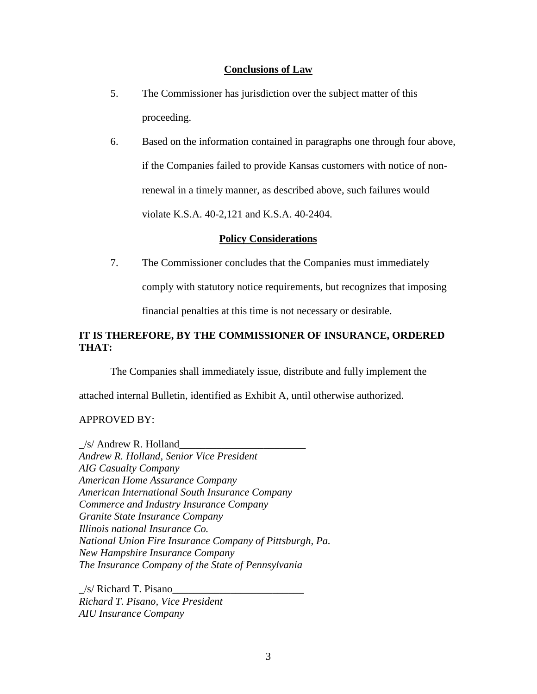### **Conclusions of Law**

- 5. The Commissioner has jurisdiction over the subject matter of this proceeding.
- 6. Based on the information contained in paragraphs one through four above, if the Companies failed to provide Kansas customers with notice of nonrenewal in a timely manner, as described above, such failures would violate K.S.A. 40-2,121 and K.S.A. 40-2404.

### **Policy Considerations**

7. The Commissioner concludes that the Companies must immediately

comply with statutory notice requirements, but recognizes that imposing

financial penalties at this time is not necessary or desirable.

# **IT IS THEREFORE, BY THE COMMISSIONER OF INSURANCE, ORDERED THAT:**

The Companies shall immediately issue, distribute and fully implement the

attached internal Bulletin, identified as Exhibit A, until otherwise authorized.

## APPROVED BY:

 $\angle$ s/ Andrew R. Holland $\angle$ *Andrew R. Holland, Senior Vice President AIG Casualty Company American Home Assurance Company American International South Insurance Company Commerce and Industry Insurance Company Granite State Insurance Company Illinois national Insurance Co. National Union Fire Insurance Company of Pittsburgh, Pa. New Hampshire Insurance Company The Insurance Company of the State of Pennsylvania*

 $/s/$  Richard T. Pisano *Richard T. Pisano, Vice President AIU Insurance Company*